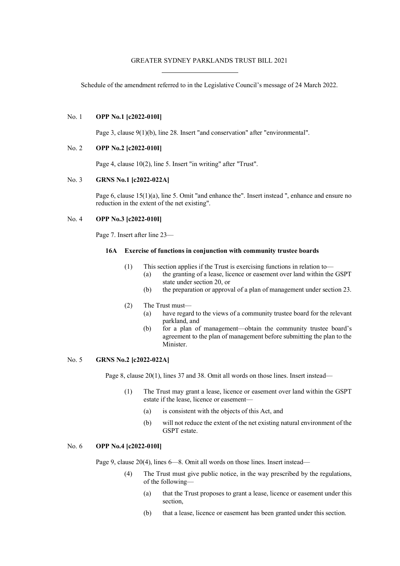### GREATER SYDNEY PARKLANDS TRUST BILL 2021

Schedule of the amendment referred to in the Legislative Council's message of 24 March 2022.

#### No. 1 **OPP No.1 [c2022-010I]**

Page 3, clause 9(1)(b), line 28. Insert "and conservation" after "environmental".

#### No. 2 **OPP No.2 [c2022-010I]**

Page 4, clause 10(2), line 5. Insert "in writing" after "Trust".

# No. 3 **GRNS No.1 [c2022-022A]**

Page 6, clause 15(1)(a), line 5. Omit "and enhance the". Insert instead ", enhance and ensure no reduction in the extent of the net existing".

# No. 4 **OPP No.3 [c2022-010I]**

Page 7. Insert after line 23—

#### **16A Exercise of functions in conjunction with community trustee boards**

- (1) This section applies if the Trust is exercising functions in relation to—
	- (a) the granting of a lease, licence or easement over land within the GSPT state under section 20, or
	- (b) the preparation or approval of a plan of management under section 23.

# (2) The Trust must—

- (a) have regard to the views of a community trustee board for the relevant parkland, and
- (b) for a plan of management—obtain the community trustee board's agreement to the plan of management before submitting the plan to the Minister.

#### No. 5 **GRNS No.2 [c2022-022A]**

Page 8, clause 20(1), lines 37 and 38. Omit all words on those lines. Insert instead—

- (1) The Trust may grant a lease, licence or easement over land within the GSPT estate if the lease, licence or easement—
	- (a) is consistent with the objects of this Act, and
	- (b) will not reduce the extent of the net existing natural environment of the GSPT estate.

# No. 6 **OPP No.4 [c2022-010I]**

Page 9, clause 20(4), lines 6—8. Omit all words on those lines. Insert instead—

- (4) The Trust must give public notice, in the way prescribed by the regulations, of the following—
	- (a) that the Trust proposes to grant a lease, licence or easement under this section,
	- (b) that a lease, licence or easement has been granted under this section.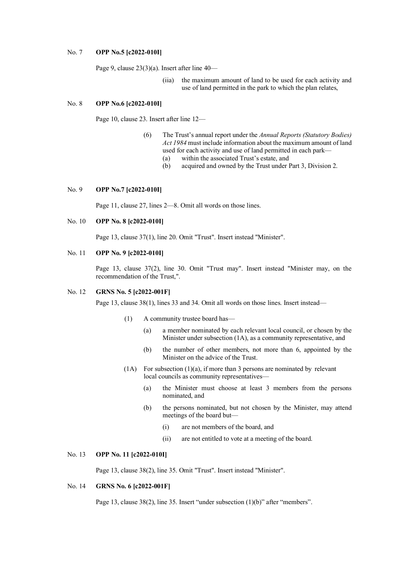#### No. 7 **OPP No.5 [c2022-010I]**

Page 9, clause 23(3)(a). Insert after line 40—

(iia) the maximum amount of land to be used for each activity and use of land permitted in the park to which the plan relates,

#### No. 8 **OPP No.6 [c2022-010I]**

Page 10, clause 23. Insert after line 12—

- (6) The Trust's annual report under the *Annual Reports (Statutory Bodies) Act 1984* must include information about the maximum amount of land used for each activity and use of land permitted in each park—
	- (a) within the associated Trust's estate, and
	- (b) acquired and owned by the Trust under Part 3, Division 2.

### No. 9 **OPP No.7 [c2022-010I]**

Page 11, clause 27, lines 2—8. Omit all words on those lines.

# No. 10 **OPP No. 8 [c2022-010I]**

Page 13, clause 37(1), line 20. Omit "Trust". Insert instead "Minister".

# No. 11 **OPP No. 9 [c2022-010I]**

Page 13, clause 37(2), line 30. Omit "Trust may". Insert instead "Minister may, on the recommendation of the Trust,".

## No. 12 **GRNS No. 5 [c2022-001F]**

Page 13, clause 38(1), lines 33 and 34. Omit all words on those lines. Insert instead—

- (1) A community trustee board has—
	- (a) a member nominated by each relevant local council, or chosen by the Minister under subsection (1A), as a community representative, and
	- (b) the number of other members, not more than 6, appointed by the Minister on the advice of the Trust.
- $(1)$  For subsection  $(1)(a)$ , if more than 3 persons are nominated by relevant local councils as community representatives—
	- (a) the Minister must choose at least 3 members from the persons nominated, and
	- (b) the persons nominated, but not chosen by the Minister, may attend meetings of the board but—
		- (i) are not members of the board, and
		- (ii) are not entitled to vote at a meeting of the board.

# No. 13 **OPP No. 11 [c2022-010I]**

Page 13, clause 38(2), line 35. Omit "Trust". Insert instead "Minister".

# No. 14 **GRNS No. 6 [c2022-001F]**

Page 13, clause 38(2), line 35. Insert "under subsection (1)(b)" after "members".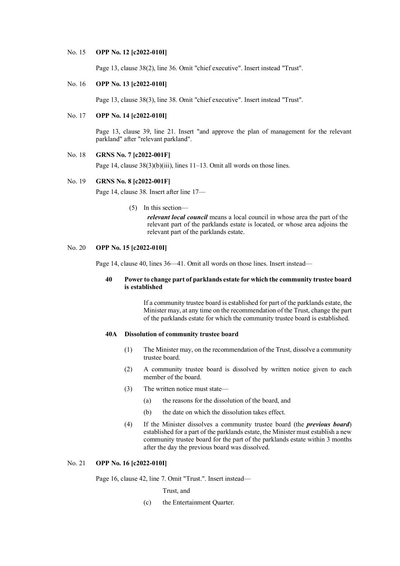#### No. 15 **OPP No. 12 [c2022-010I]**

Page 13, clause 38(2), line 36. Omit "chief executive". Insert instead "Trust".

# No. 16 **OPP No. 13 [c2022-010I]**

Page 13, clause 38(3), line 38. Omit "chief executive". Insert instead "Trust".

# No. 17 **OPP No. 14 [c2022-010I]**

Page 13, clause 39, line 21. Insert "and approve the plan of management for the relevant parkland" after "relevant parkland".

# No. 18 **GRNS No. 7 [c2022-001F]**

Page 14, clause  $38(3)(b)(iii)$ , lines 11–13. Omit all words on those lines.

### No. 19 **GRNS No. 8 [c2022-001F]**

Page 14, clause 38. Insert after line 17—

(5) In this section—

*relevant local council* means a local council in whose area the part of the relevant part of the parklands estate is located, or whose area adjoins the relevant part of the parklands estate.

# No. 20 **OPP No. 15 [c2022-010I]**

Page 14, clause 40, lines 36—41. Omit all words on those lines. Insert instead—

# **40 Power to change part of parklands estate for which the community trustee board is established**

If a community trustee board is established for part of the parklands estate, the Minister may, at any time on the recommendation of the Trust, change the part of the parklands estate for which the community trustee board is established.

### **40A Dissolution of community trustee board**

- (1) The Minister may, on the recommendation of the Trust, dissolve a community trustee board.
- (2) A community trustee board is dissolved by written notice given to each member of the board.
- (3) The written notice must state—
	- (a) the reasons for the dissolution of the board, and
	- (b) the date on which the dissolution takes effect.
- (4) If the Minister dissolves a community trustee board (the *previous board*) established for a part of the parklands estate, the Minister must establish a new community trustee board for the part of the parklands estate within 3 months after the day the previous board was dissolved.

# No. 21 **OPP No. 16 [c2022-010I]**

Page 16, clause 42, line 7. Omit "Trust.". Insert instead—

Trust, and

(c) the Entertainment Quarter.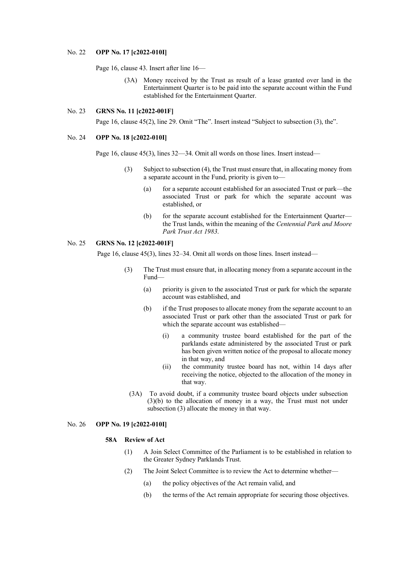#### No. 22 **OPP No. 17 [c2022-010I]**

Page 16, clause 43. Insert after line 16—

(3A) Money received by the Trust as result of a lease granted over land in the Entertainment Quarter is to be paid into the separate account within the Fund established for the Entertainment Quarter.

### No. 23 **GRNS No. 11 [c2022-001F]**

Page 16, clause 45(2), line 29. Omit "The". Insert instead "Subject to subsection (3), the".

# No. 24 **OPP No. 18 [c2022-010I]**

Page 16, clause 45(3), lines 32—34. Omit all words on those lines. Insert instead—

- (3) Subject to subsection (4), the Trust must ensure that, in allocating money from a separate account in the Fund, priority is given to—
	- (a) for a separate account established for an associated Trust or park—the associated Trust or park for which the separate account was established, or
	- (b) for the separate account established for the Entertainment Quarter the Trust lands, within the meaning of the *Centennial Park and Moore Park Trust Act 1983*.

### No. 25 **GRNS No. 12 [c2022-001F]**

Page 16, clause 45(3), lines 32–34. Omit all words on those lines. Insert instead—

- (3) The Trust must ensure that, in allocating money from a separate account in the Fund—
	- (a) priority is given to the associated Trust or park for which the separate account was established, and
	- (b) if the Trust proposes to allocate money from the separate account to an associated Trust or park other than the associated Trust or park for which the separate account was established—
		- (i) a community trustee board established for the part of the parklands estate administered by the associated Trust or park has been given written notice of the proposal to allocate money in that way, and
		- (ii) the community trustee board has not, within 14 days after receiving the notice, objected to the allocation of the money in that way.
	- (3A) To avoid doubt, if a community trustee board objects under subsection (3)(b) to the allocation of money in a way, the Trust must not under subsection (3) allocate the money in that way.

#### No. 26 **OPP No. 19 [c2022-010I]**

### **58A Review of Act**

- (1) A Join Select Committee of the Parliament is to be established in relation to the Greater Sydney Parklands Trust.
- (2) The Joint Select Committee is to review the Act to determine whether—
	- (a) the policy objectives of the Act remain valid, and
	- (b) the terms of the Act remain appropriate for securing those objectives.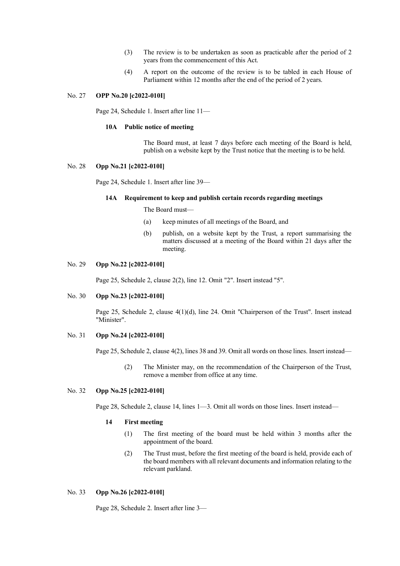- (3) The review is to be undertaken as soon as practicable after the period of 2 years from the commencement of this Act.
- (4) A report on the outcome of the review is to be tabled in each House of Parliament within 12 months after the end of the period of 2 years.

## No. 27 **OPP No.20 [c2022-010I]**

Page 24, Schedule 1. Insert after line 11—

# **10A Public notice of meeting**

The Board must, at least 7 days before each meeting of the Board is held, publish on a website kept by the Trust notice that the meeting is to be held.

# No. 28 **Opp No.21 [c2022-010I]**

Page 24, Schedule 1. Insert after line 39—

#### **14A Requirement to keep and publish certain records regarding meetings**

The Board must—

- (a) keep minutes of all meetings of the Board, and
- (b) publish, on a website kept by the Trust, a report summarising the matters discussed at a meeting of the Board within 21 days after the meeting.

# No. 29 **Opp No.22 [c2022-010I]**

Page 25, Schedule 2, clause 2(2), line 12. Omit "2". Insert instead "5".

### No. 30 **Opp No.23 [c2022-010I]**

Page 25, Schedule 2, clause 4(1)(d), line 24. Omit "Chairperson of the Trust". Insert instead "Minister".

#### No. 31 **Opp No.24 [c2022-010I]**

Page 25, Schedule 2, clause 4(2), lines 38 and 39. Omit all words on those lines. Insert instead—

(2) The Minister may, on the recommendation of the Chairperson of the Trust, remove a member from office at any time.

# No. 32 **Opp No.25 [c2022-010I]**

Page 28, Schedule 2, clause 14, lines 1—3. Omit all words on those lines. Insert instead—

## **14 First meeting**

- (1) The first meeting of the board must be held within 3 months after the appointment of the board.
- (2) The Trust must, before the first meeting of the board is held, provide each of the board members with all relevant documents and information relating to the relevant parkland.

## No. 33 **Opp No.26 [c2022-010I]**

Page 28, Schedule 2. Insert after line 3—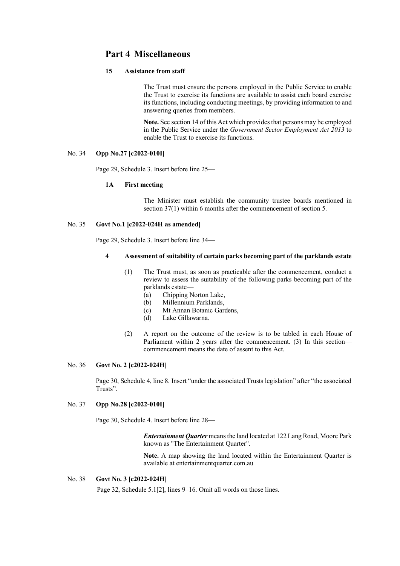# **Part 4 Miscellaneous**

# **15 Assistance from staff**

The Trust must ensure the persons employed in the Public Service to enable the Trust to exercise its functions are available to assist each board exercise its functions, including conducting meetings, by providing information to and answering queries from members.

**Note.** See section 14 of this Act which provides that persons may be employed in the Public Service under the *Government Sector Employment Act 2013* to enable the Trust to exercise its functions.

# No. 34 **Opp No.27 [c2022-010I]**

Page 29, Schedule 3. Insert before line 25—

#### **1A First meeting**

The Minister must establish the community trustee boards mentioned in section 37(1) within 6 months after the commencement of section 5.

# No. 35 **Govt No.1 [c2022-024H as amended]**

Page 29, Schedule 3. Insert before line 34—

## **4 Assessment of suitability of certain parks becoming part of the parklands estate**

- (1) The Trust must, as soon as practicable after the commencement, conduct a review to assess the suitability of the following parks becoming part of the parklands estate—
	- (a) Chipping Norton Lake,
	- (b) Millennium Parklands,
	- (c) Mt Annan Botanic Gardens,
	- (d) Lake Gillawarna.
- (2) A report on the outcome of the review is to be tabled in each House of Parliament within 2 years after the commencement. (3) In this section commencement means the date of assent to this Act.

# No. 36 **Govt No. 2 [c2022-024H]**

Page 30, Schedule 4, line 8. Insert "under the associated Trusts legislation" after "the associated Trusts".

## No. 37 **Opp No.28 [c2022-010I]**

Page 30, Schedule 4. Insert before line 28—

*Entertainment Quarter* means the land located at 122 Lang Road, Moore Park known as "The Entertainment Quarter".

**Note.** A map showing the land located within the Entertainment Quarter is available at entertainmentquarter.com.au

### No. 38 **Govt No. 3 [c2022-024H]**

Page 32, Schedule 5.1[2], lines 9–16. Omit all words on those lines.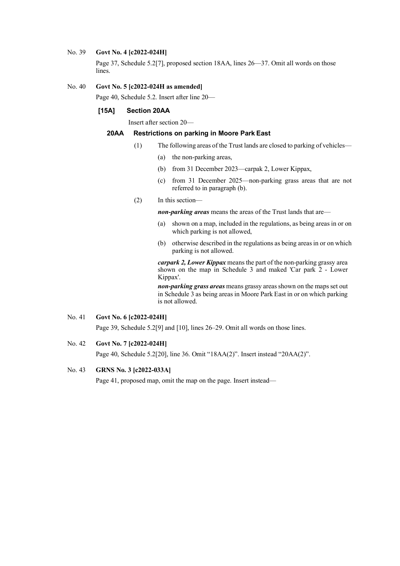#### No. 39 **Govt No. 4 [c2022-024H]**

Page 37, Schedule 5.2[7], proposed section 18AA, lines 26—37. Omit all words on those lines.

# No. 40 **Govt No. 5 [c2022-024H as amended]**

Page 40, Schedule 5.2. Insert after line 20—

# **[15A] Section 20AA**

Insert after section 20—

## **20AA Restrictions on parking in Moore Park East**

- (1) The following areas of the Trust lands are closed to parking of vehicles—
	- (a) the non-parking areas,
	- (b) from 31 December 2023—carpak 2, Lower Kippax,
	- (c) from 31 December 2025—non-parking grass areas that are not referred to in paragraph (b).
- (2) In this section—

*non-parking areas* means the areas of the Trust lands that are—

- (a) shown on a map, included in the regulations, as being areas in or on which parking is not allowed,
- (b) otherwise described in the regulations as being areas in or on which parking is not allowed.

*carpark 2, Lower Kippax* means the part of the non-parking grassy area shown on the map in Schedule 3 and maked 'Car park 2 - Lower Kippax'.

*non-parking grass areas* means grassy areas shown on the maps set out in Schedule 3 as being areas in Moore Park East in or on which parking is not allowed.

## No. 41 **Govt No. 6 [c2022-024H]**

Page 39, Schedule 5.2[9] and [10], lines 26–29. Omit all words on those lines.

# No. 42 **Govt No. 7 [c2022-024H]**

Page 40, Schedule 5.2[20], line 36. Omit "18AA(2)". Insert instead "20AA(2)".

## No. 43 **GRNS No. 3 [c2022-033A]**

Page 41, proposed map, omit the map on the page. Insert instead—